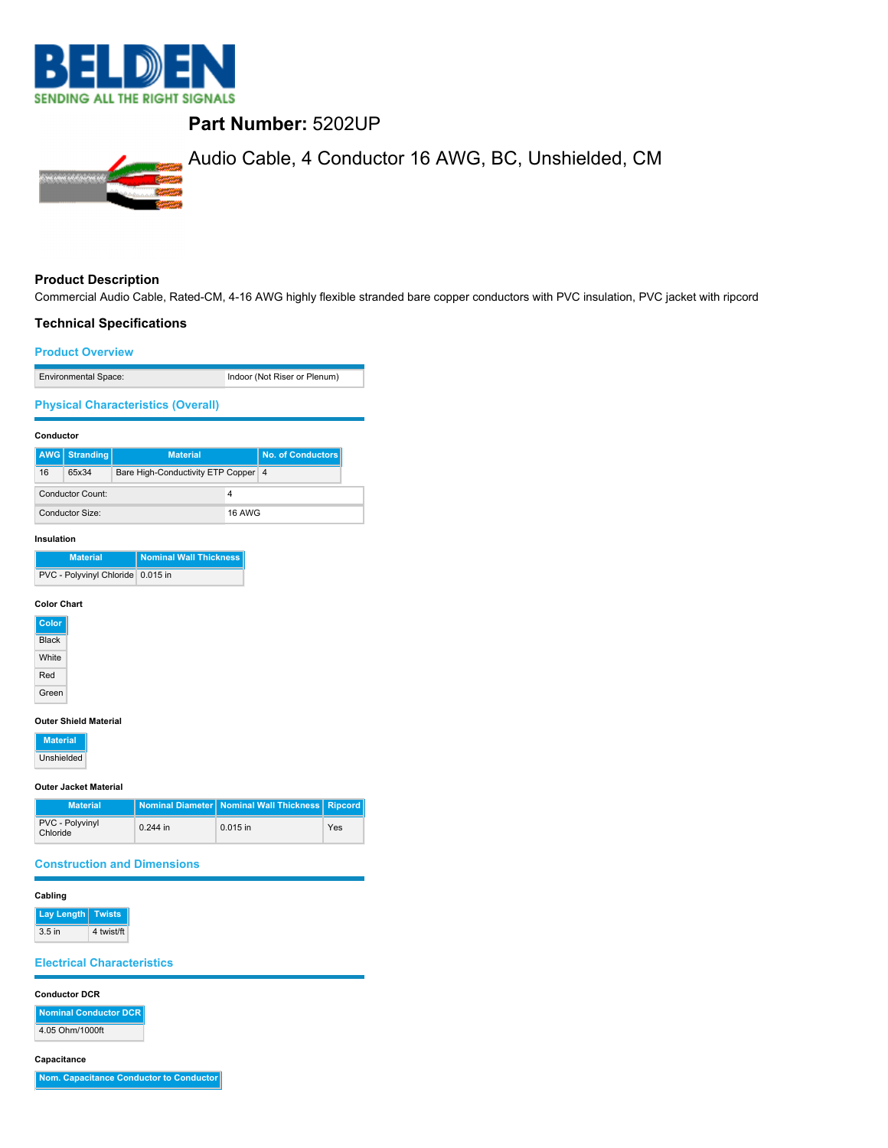

# **Part Number:** 5202UP



# Audio Cable, 4 Conductor 16 AWG, BC, Unshielded, CM

# **Product Description**

Commercial Audio Cable, Rated-CM, 4-16 AWG highly flexible stranded bare copper conductors with PVC insulation, PVC jacket with ripcord

# **Technical Specifications**

#### **Product Overview**

| <b>Environmental Space:</b>               | Indoor (Not Riser or Plenum) |
|-------------------------------------------|------------------------------|
| <b>Physical Characteristics (Overall)</b> |                              |

#### **Conductor**

|                       | <b>AWG</b> Stranding | <b>Material</b>                     | No. of Conductors |
|-----------------------|----------------------|-------------------------------------|-------------------|
| 16                    | 65x34                | Bare High-Conductivity ETP Copper 4 |                   |
| Conductor Count:<br>4 |                      |                                     |                   |
|                       | Conductor Size:      | <b>16 AWG</b>                       |                   |

#### **Insulation**

| <b>Material</b>                   | Nominal Wall Thickness |
|-----------------------------------|------------------------|
| PVC - Polyvinyl Chloride 0.015 in |                        |

### **Color Chart**

| Color        |  |
|--------------|--|
| <b>Black</b> |  |
| White        |  |
| Red          |  |
| Green        |  |

#### **Outer Shield Material**

**Material** Unshielded

#### **Outer Jacket Material**

| <b>Material</b>             |            | Nominal Diameter   Nominal Wall Thickness   Ripcord |     |
|-----------------------------|------------|-----------------------------------------------------|-----|
| PVC - Polyvinyl<br>Chloride | $0.244$ in | $0.015$ in                                          | Yes |

#### **Construction and Dimensions**

#### **Cabling**

**Lay Length Twists**  $3.5$  in  $4$  twist/ft

# **Electrical Characteristics**

#### **Conductor DCR**

**Nominal Conductor DCR** 4.05 Ohm/1000ft

#### **Capacitance**

**Nom. Capacitance Conductor to Conductor**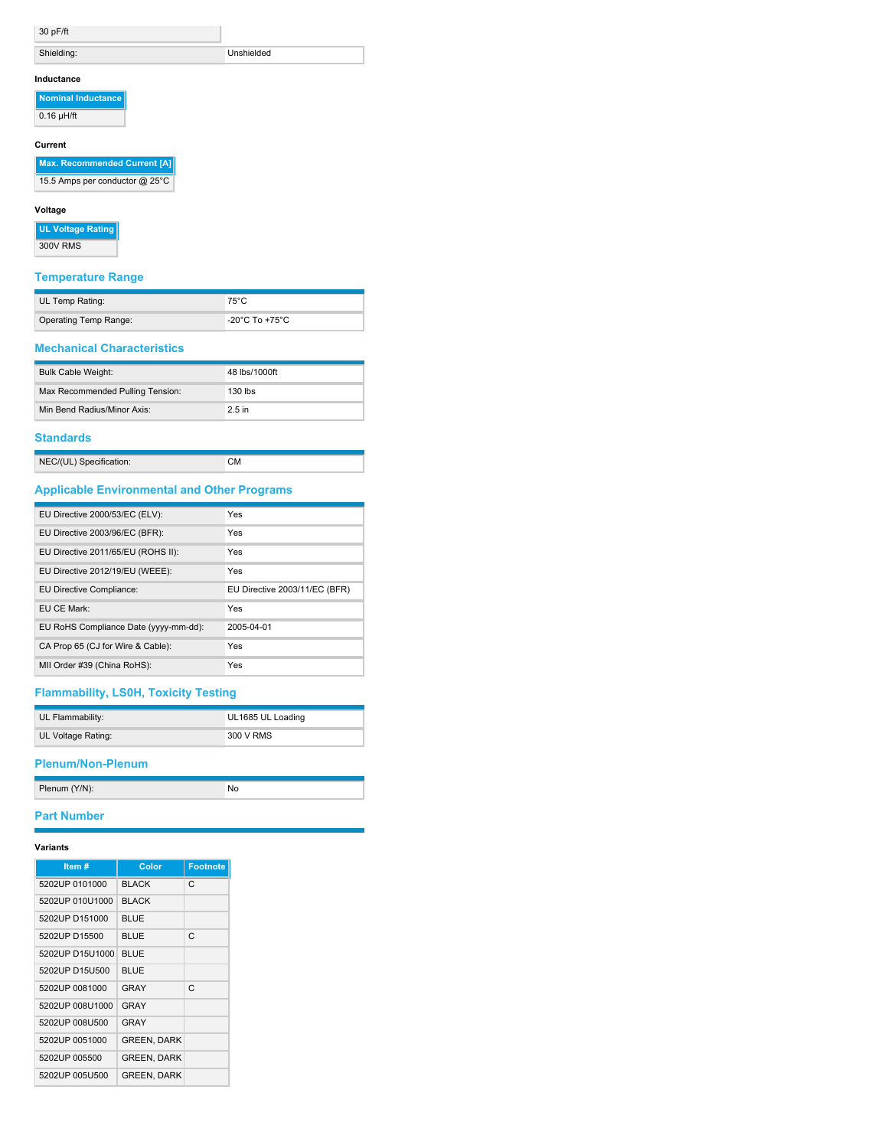|  | 30 pF/t |
|--|---------|
|--|---------|

| 30 pF/ft |
|----------|
|          |

Shielding: Unshielded

### **Inductance**

**Nominal Inductance**

 $\overline{0.16 \mu H/ft}$ 

# **Current**

**Max. Recommended Current [A]**

15.5 Amps per conductor @ 25°C

### **Voltage**

**UL Voltage Rating**

300V RMS

# **Temperature Range**

| UL Temp Rating:       | $75^{\circ}$ C                       |
|-----------------------|--------------------------------------|
| Operating Temp Range: | -20 $^{\circ}$ C To +75 $^{\circ}$ C |

#### **Mechanical Characteristics**

| <b>Bulk Cable Weight:</b>        | 48 lbs/1000ft |
|----------------------------------|---------------|
| Max Recommended Pulling Tension: | $130$ lbs     |
| Min Bend Radius/Minor Axis:      | 2.5 in        |

# **Standards**

| NEC/(UL) Specification: |  |
|-------------------------|--|
|                         |  |

# **Applicable Environmental and Other Programs**

| EU Directive 2000/53/EC (ELV):        | Yes                           |
|---------------------------------------|-------------------------------|
| EU Directive 2003/96/EC (BFR):        | Yes                           |
| EU Directive 2011/65/EU (ROHS II):    | Yes                           |
| EU Directive 2012/19/EU (WEEE):       | Yes                           |
| EU Directive Compliance:              | EU Directive 2003/11/EC (BFR) |
| EU CE Mark:                           | Yes                           |
| EU RoHS Compliance Date (yyyy-mm-dd): | 2005-04-01                    |
| CA Prop 65 (CJ for Wire & Cable):     | Yes                           |
| MII Order #39 (China RoHS):           | Yes                           |

# **Flammability, LS0H, Toxicity Testing**

| UL Flammability:   | UL1685 UL Loading |
|--------------------|-------------------|
| UL Voltage Rating: | 300 V RMS         |

# **Plenum/Non-Plenum**

| Plenum (Y/N): |  |
|---------------|--|
|               |  |

# **Part Number**

# **Variants**

| Item#           | Color              | <b>Footnote</b> |
|-----------------|--------------------|-----------------|
| 5202UP 0101000  | <b>BLACK</b>       | C.              |
| 5202UP 010U1000 | <b>BLACK</b>       |                 |
| 5202UP D151000  | <b>BLUE</b>        |                 |
| 5202UP D15500   | <b>BLUE</b>        | C               |
| 5202UP D15U1000 | <b>BLUE</b>        |                 |
| 5202UP D15U500  | <b>BLUE</b>        |                 |
| 5202UP 0081000  | GRAY               | C               |
| 5202UP 008U1000 | GRAY               |                 |
| 5202UP 008U500  | GRAY               |                 |
| 5202UP 0051000  | <b>GREEN, DARK</b> |                 |
| 5202UP 005500   | <b>GREEN, DARK</b> |                 |
| 5202UP 005U500  | <b>GREEN, DARK</b> |                 |